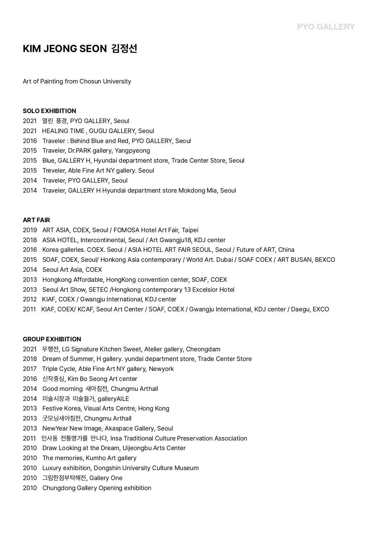# **KIM JEONG SEON 김정선**

Art of Painting from Chosun University

#### **SOLO EXHIBITION**

- 2021 열린 풍경, PYO GALLERY, Seoul
- 2021 HEALING TIME , GUGU GALLERY, Seoul
- 2016 Traveler : Behind Blue and Red, PYO GALLERY, Seoul
- 2015 Traveler, Dr.PARK gallery, Yangpyeong
- 2015 Blue, GALLERY H, Hyundai department store, Trade Center Store, Seoul
- 2015 Treveler, Able Fine Art NY gallery. Seoul
- 2014 Traveler, PYO GALLERY, Seoul
- 2014 Traveler, GALLERY H Hyundai department store Mokdong Mia, Seoul

## **ART FAIR**

- 2019 ART ASIA, COEX, Seoul / FOMOSA Hotel Art Fair, Taipei
- 2018 ASIA HOTEL, Intercontinental, Seoul / Art Gwangju18, KDJ center
- 2016 Korea galleries. COEX. Seoul / ASIA HOTEL ART FAIR SEOUL, Seoul / Future of ART, China
- 2015 SOAF, COEX, Seoul/ Honkong Asia contemporary / World Art. Dubai / SOAF COEX / ART BUSAN, BEXCO
- 2014 Seoul Art Asia, COEX
- 2013 Hongkong Affordable, HongKong convention center, SOAF, COEX
- 2013 Seoul Art Show, SETEC /Hongkong contemporary 13 Excelsior Hotel
- 2012 KIAF, COEX / Gwangju International, KDJ center
- 2011 KIAF, COEX/ KCAF, Seoul Art Center / SOAF, COEX / Gwangju International, KDJ center / Daegu, EXCO

### **GROUP EXHIBITION**

- 2021 우행전, LG Signature Kitchen Sweet, Atelier gallery, Cheongdam
- 2018 Dream of Summer, H gallery. yundai department store, Trade Center Store
- 2017 Triple Cycle, Able Fine Art NY gallery, Newyork
- 2016 신작중심, Kim Bo Seong Art center
- 2014 Good morning 새아침전, Chungmu Arthall
- 2014 미술시장과 미술들가, galleryAILE
- 2013 Festive Korea, Visual Arts Centre, Hong Kong
- 2013 굿모닝새아침전, Chungmu Arthall
- 2013 NewYear New Image, Akaspace Gallery, Seoul
- 2011 인사동 전통명가를 만나다, Insa Traditional Culture Preservation Association
- 2010 Draw Looking at the Dream, Uijeongbu Arts Center
- 2010 The memories, Kumho Art gallery
- 2010 Luxury exhibition, Dongshin University Culture Museum
- 2010 그림한점부탁해전, Gallery One
- 2010 Chungdong Gallery Opening exhibition